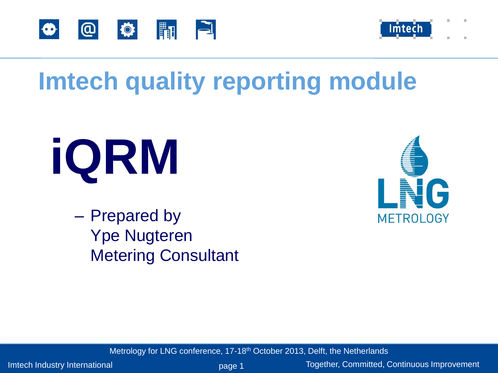



## **Imtech quality reporting module**

# **iQRM**

– Prepared by Ype Nugteren Metering Consultant



Metrology for LNG conference, 17-18<sup>th</sup> October 2013, Delft, the Netherlands

Imtech Industry International **page 1** Together, Committed, Continuous Improvement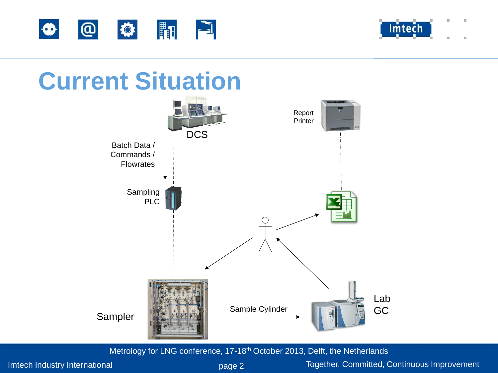



## **Current Situation**



Metrology for LNG conference, 17-18<sup>th</sup> October 2013, Delft, the Netherlands

Imtech Industry International **page 2** Together, Committed, Continuous Improvement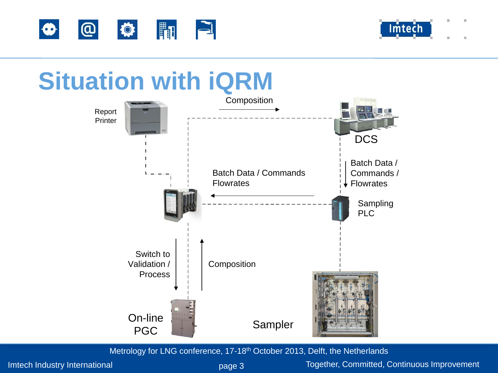



## **Situation with iQRM**



Metrology for LNG conference, 17-18th October 2013, Delft, the Netherlands

Imtech Industry International **page 3** Together, Committed, Continuous Improvement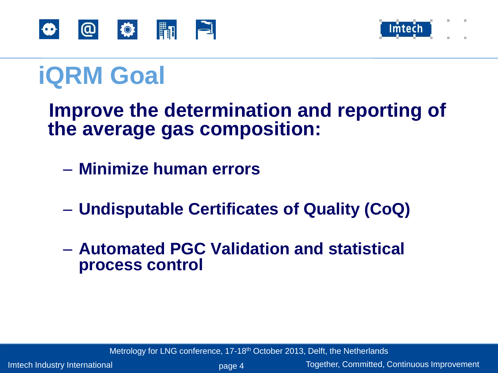



## **iQRM Goal**

 **Improve the determination and reporting of the average gas composition:**

- **Minimize human errors**
- **Undisputable Certificates of Quality (CoQ)**
- **Automated PGC Validation and statistical process control**

Metrology for LNG conference, 17-18<sup>th</sup> October 2013, Delft, the Netherlands

Imtech Industry International **page 4** Together, Committed, Continuous Improvement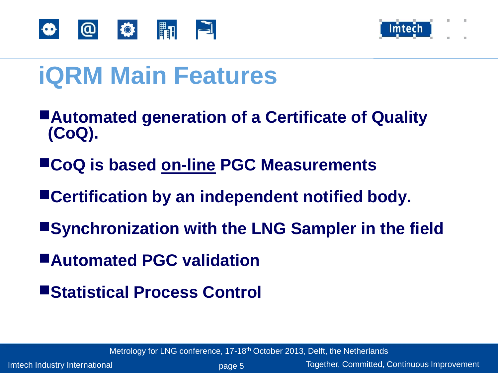



## **iQRM Main Features**

- ■**Automated generation of a Certificate of Quality (CoQ).**
- ■**CoQ is based on-line PGC Measurements**
- ■**Certification by an independent notified body.**
- ■**Synchronization with the LNG Sampler in the field**
- ■**Automated PGC validation**
- ■**Statistical Process Control**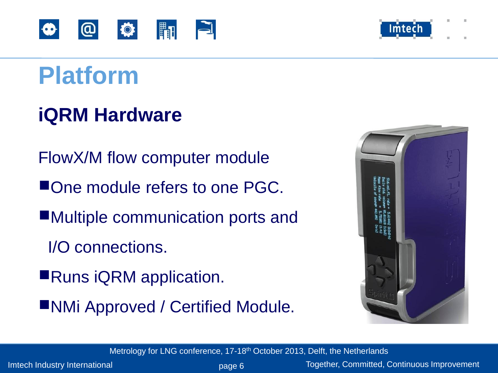

## **iQRM Hardware**

- FlowX/M flow computer module
- ■One module refers to one PGC.
- ■Multiple communication ports and
	- I/O connections.
- ■Runs iQRM application.
- ■NMi Approved / Certified Module.



Metrology for LNG conference, 17-18<sup>th</sup> October 2013, Delft, the Netherlands

Imtech Industry International **page 6** Together, Committed, Continuous Improvement

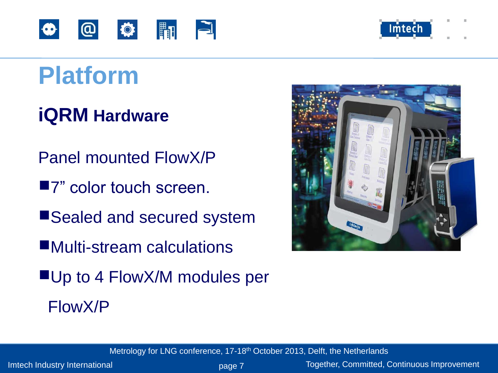



## **iQRM Hardware**

- Panel mounted FlowX/P
- ■7" color touch screen.
- ■Sealed and secured system
- ■Multi-stream calculations
- ■Up to 4 FlowX/M modules per FlowX/P



Metrology for LNG conference, 17-18<sup>th</sup> October 2013, Delft, the Netherlands

Imtech Industry International **page 7** Together, Committed, Continuous Improvement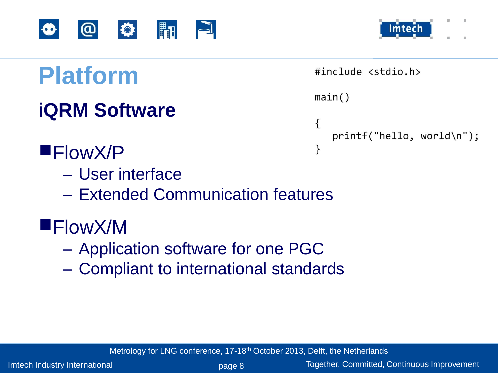



```
#include <stdio.h>
main()\{printf("hello, world\n");
}
```
#### **iQRM Software**

- ■FlowX/P
	- User interface
	- Extended Communication features
- ■FlowX/M
	- Application software for one PGC
	- Compliant to international standards

Metrology for LNG conference, 17-18<sup>th</sup> October 2013, Delft, the Netherlands

Imtech Industry International **page 8** Together, Committed, Continuous Improvement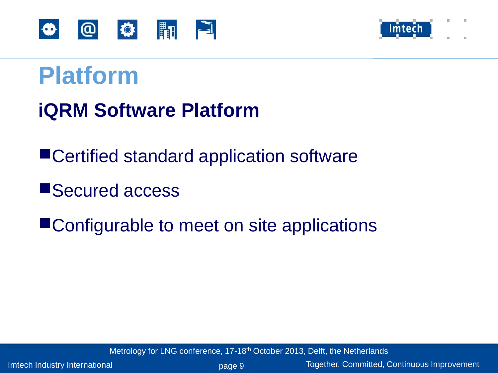



#### **iQRM Software Platform**

■Certified standard application software

■Secured access

■Configurable to meet on site applications

Metrology for LNG conference, 17-18<sup>th</sup> October 2013, Delft, the Netherlands

Imtech Industry International **page 9** Together, Committed, Continuous Improvement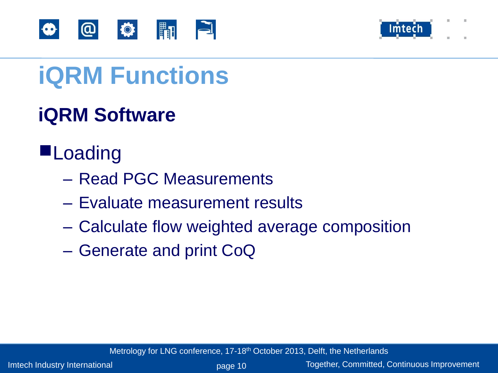



## **iQRM Functions**

## **iQRM Software**

#### ■**Loading**

- Read PGC Measurements
- Evaluate measurement results
- Calculate flow weighted average composition
- Generate and print CoQ

Metrology for LNG conference, 17-18<sup>th</sup> October 2013, Delft, the Netherlands

Imtech Industry International **page 10** page 10 Together, Committed, Continuous Improvement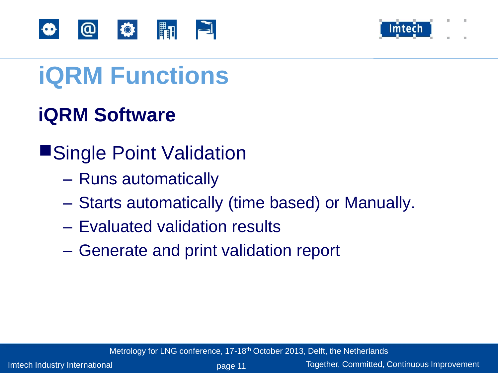



## **iQRM Functions**

#### **iQRM Software**

- ■Single Point Validation
	- Runs automatically
	- Starts automatically (time based) or Manually.
	- Evaluated validation results
	- Generate and print validation report

Metrology for LNG conference, 17-18<sup>th</sup> October 2013, Delft, the Netherlands

Imtech Industry International **page 11** Person by Dege 11 Together, Committed, Continuous Improvement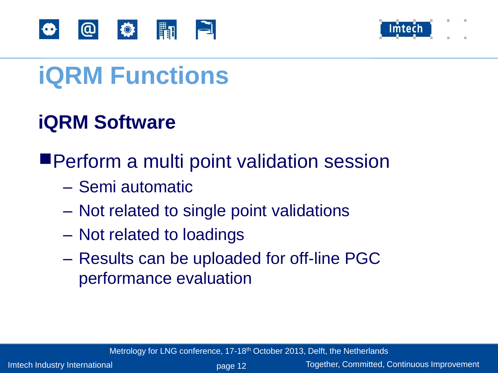



## **iQRM Functions**

#### **iQRM Software**

#### ■Perform a multi point validation session

- Semi automatic
- Not related to single point validations
- Not related to loadings
- Results can be uploaded for off-line PGC performance evaluation

Metrology for LNG conference, 17-18<sup>th</sup> October 2013, Delft, the Netherlands

Imtech Industry International **page 12** page 12 Together, Committed, Continuous Improvement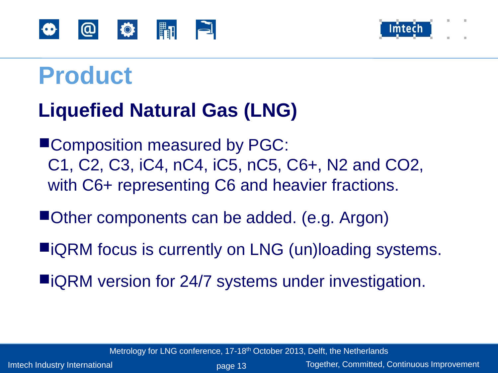



## **Product**

#### **Liquefied Natural Gas (LNG)**

■Composition measured by PGC: C1, C2, C3, iC4, nC4, iC5, nC5, C6+, N2 and CO2, with C6+ representing C6 and heavier fractions.

- ■Other components can be added. (e.g. Argon)
- ■iQRM focus is currently on LNG (un)loading systems.
- ■iQRM version for 24/7 systems under investigation.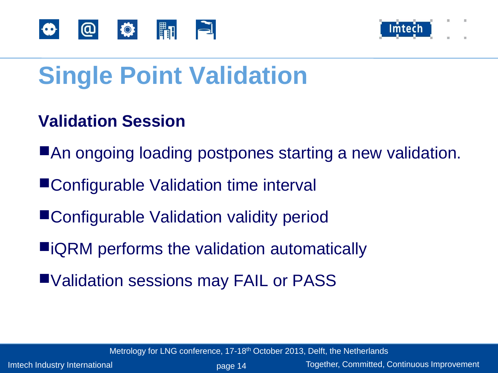



## **Single Point Validation**

#### **Validation Session**

- ■An ongoing loading postpones starting a new validation.
- ■Configurable Validation time interval
- ■Configurable Validation validity period
- ■iQRM performs the validation automatically
- ■Validation sessions may FAIL or PASS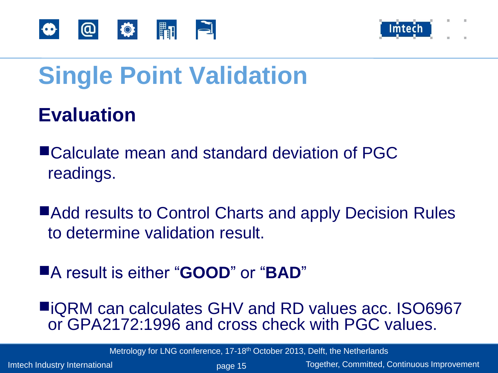



## **Single Point Validation**

#### **Evaluation**

■Calculate mean and standard deviation of PGC readings.

■Add results to Control Charts and apply Decision Rules to determine validation result.

■A result is either "**GOOD**" or "**BAD**"

■iQRM can calculates GHV and RD values acc. ISO6967 or GPA2172:1996 and cross check with PGC values.

Metrology for LNG conference, 17-18<sup>th</sup> October 2013, Delft, the Netherlands

Imtech Industry International **page 15** Person by Dege 15 Together, Committed, Continuous Improvement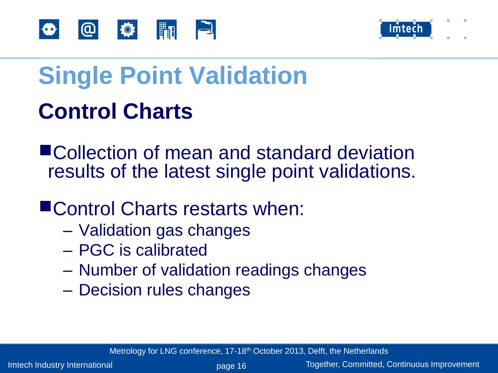



## **Single Point Validation Control Charts**

■Collection of mean and standard deviation results of the latest single point validations.

#### ■Control Charts restarts when:

- Validation gas changes
- PGC is calibrated
- Number of validation readings changes
- Decision rules changes

Metrology for LNG conference, 17-18<sup>th</sup> October 2013, Delft, the Netherlands

Imtech Industry International **page 16** Together, Committed, Continuous Improvement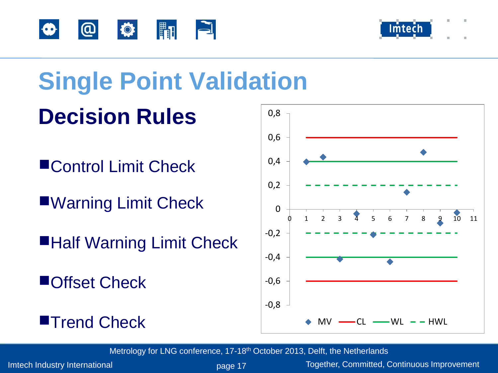



#### **Single Point Validation Decision Rules** 0,8

- ■Control Limit Check
- ■Warning Limit Check
- ■Half Warning Limit Check
- ■Offset Check





Metrology for LNG conference, 17-18<sup>th</sup> October 2013, Delft, the Netherlands

Imtech Industry International **page 17** Person by Dege 17 Together, Committed, Continuous Improvement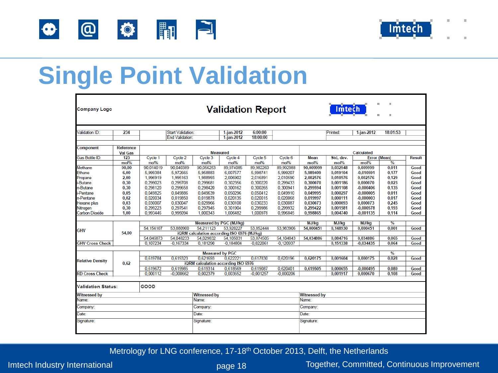



## **Single Point Validation**

| <b>Company Logo</b>               |                             |                      |                          |                          | ш<br><b>Validation Report</b><br>Imtech     |             |             |                                       |           |                     |               |               |  |  |  |
|-----------------------------------|-----------------------------|----------------------|--------------------------|--------------------------|---------------------------------------------|-------------|-------------|---------------------------------------|-----------|---------------------|---------------|---------------|--|--|--|
| /alidation ID:                    | 234                         |                      | <b>Start Validation:</b> | 6:00:00<br>$1$ -jan-2012 |                                             |             |             | $1$ -jan-2012<br>18:01:53<br>Printed: |           |                     |               |               |  |  |  |
|                                   |                             |                      | <b>End Validation:</b>   |                          | $1$ -jan-2012                               | 18:00:00    |             |                                       |           |                     |               |               |  |  |  |
| Component                         | Reference<br><b>Val Gas</b> |                      |                          |                          | <b>Measured</b>                             |             |             | <b>Calculated</b>                     |           |                     |               |               |  |  |  |
| Gas Bottle ID:                    | 123                         | Cycle 1              | Cycle 2                  | Cycle 3                  | Cycle 4                                     | Cycle 5     | Cycle 6     | <b>Mean</b>                           | Std, dev. | <b>Error (Mean)</b> |               | <b>Result</b> |  |  |  |
|                                   | mol%                        | mol%                 | mol%                     | mol%                     | mol%                                        | mol%        | mol%        | mol%                                  | mol%      | mol%                | %             |               |  |  |  |
| Methane                           | 90,00                       | 90,014019            | 90,040389                | 90,056253                | 89,974085                                   | 89,982260   | 89,992988   | 90,009999                             | 0,032948  | 0,009999            | 0,011         | Good          |  |  |  |
| Ethane                            | 6,00                        | 5,999384             | 5,972665                 | 5,958883                 | 6,007577                                    | 5,998741    | 5,999207    | 5,989409                              | 0.019104  | $-0,010591$         | 0,177         | Good          |  |  |  |
| Propane                           | 2,00                        | 1,996919             | 1,995163                 | 1,988993                 | 2,006902                                    | 2,016891    | 2,010590    | 2,002576                              | 0,010576  | 0,002576            | 0,129         | Good          |  |  |  |
| i-Butane                          | 0,30                        | 0.299023             | 0.299708                 | 0,299681                 | 0,302356                                    | 0,300220    | 0,299433    | 0,300070                              | 0.001186  | 0,000070            | 0,023         | Good          |  |  |  |
| n-Butane                          | 0,30                        | 0,298120             | 0,299658                 | 0,298420                 | 0,300162                                    | 0,300265    | 0.300941    | 0,299594                              | 0,001108  | $-0,000406$         | 0,135         | Good          |  |  |  |
| i-Pentane                         | 0,05                        | 0.049825             | 0.049886                 | 0,049639                 | 0.050296                                    | 0,050412    | 0.049910    | 0.049995                              | 0.000297  | $-0.000005$         | 0,011         | Good          |  |  |  |
| n-Pentane                         | 0,02                        | 0,020034             | 0,019850                 | 0,019878                 | 0,020135                                    | 0,020015    | 0,020068    | 0,019997                              | 0,000111  | $-0,000003$         | 0,017         | Good          |  |  |  |
| Hexane plus                       | 0.03                        | 0.030007             | 0,030047                 | 0,029966                 | 0,030100                                    | 0,030233    | 0.030087    | 0.030073                              | 0,000093  | 0,000073            | 0,245         | Good          |  |  |  |
| Nitrogen<br><b>Carbon Dioxide</b> | 0,30                        | 0.299223<br>0.993446 | 0.297541<br>0,995094     | 0.297945                 | 0.301904<br>1.006482                        | 0,299986    | 0.299932    | 0.299422                              | 0,001581  | $-0,000578$         | 0,193         | Good          |  |  |  |
|                                   | 1,00                        |                      |                          | 1,000343                 |                                             | 1,000978    | 0,996845    | 0,998865                              | 0,004740  | $-0,001135$         | 0,114         | Good          |  |  |  |
|                                   | 54.00                       |                      |                          |                          | Measured by PGC (MJ/kg)                     |             |             | MJ/kg                                 | MJ/kg     | MJ/kg               | $\frac{9}{6}$ |               |  |  |  |
|                                   |                             | 54,154107            | 53,880900                | 54,211123                | 53,920227                                   | 53,852444   | 53,983906   | 54,000451                             | 0,148930  | 0,000451            | 0,001         | Good          |  |  |  |
| <b>GHV</b>                        |                             |                      |                          |                          | iQRM calculation according ISO 6976 (MJ/kg) |             |             |                                       |           |                     |               |               |  |  |  |
|                                   |                             | 54,046873            | 54,048233                | 54,029832                | 54,105031                                   | 53,874505   | 54,104843   | 54,034886                             | 0,084716  | 0.034886            | 0,065         | Good          |  |  |  |
| <b>GHV Cross Check</b>            |                             | 0.107234             | $-0.167334$              | 0.181290                 | $-0.184804$                                 | $-0,022061$ | $-0.120937$ |                                       | 0.151338  | $-0.034435$         | 0.064         | Good          |  |  |  |
|                                   |                             |                      |                          |                          |                                             |             |             |                                       |           |                     |               |               |  |  |  |
|                                   |                             |                      |                          |                          | <b>Measured by PGC</b>                      |             |             |                                       |           |                     | $\frac{9}{6}$ |               |  |  |  |
| <b>Relative Density</b>           | 0.62                        | 0,619784             | 0,619323                 | 0.621693                 | 0.622221                                    | 0,617830    | 0.620196    | 0.620175                              | 0,001604  | 0.000175            | 0,028         | Good          |  |  |  |
|                                   |                             |                      |                          |                          | iQRM calculation according ISO 6976         |             |             |                                       |           |                     |               |               |  |  |  |
|                                   |                             | 0,619672             | 0,619985                 | 0.619314                 | 0,618569                                    | 0,619087    | 0.620401    | 0,619505                              | 0,000655  | $-0,000495$         | 0,080         | Good          |  |  |  |
| <b>RD Cross Check</b>             |                             | 0,000112             | $-0,000662$              | 0,002379                 | 0.003652                                    | $-0.001257$ | $-0.000206$ |                                       | 0.001917  | 0.000670            | 0,108         | Good          |  |  |  |
| <b>Validation Status:</b>         |                             | GOOD                 |                          |                          |                                             |             |             |                                       |           |                     |               |               |  |  |  |
| <b>Witnessed by</b>               | <b>Witnessed by</b>         |                      |                          |                          | <b>Witnessed by</b>                         |             |             |                                       |           |                     |               |               |  |  |  |
| Name:                             |                             |                      |                          | Name:                    |                                             |             |             | Name:                                 |           |                     |               |               |  |  |  |
| Company:                          | Company:                    |                      |                          |                          | Company:                                    |             |             |                                       |           |                     |               |               |  |  |  |
| Date:                             | Date:                       |                      |                          |                          | Date:                                       |             |             |                                       |           |                     |               |               |  |  |  |
| Signature:                        | Signature:                  |                      |                          |                          | Signature:                                  |             |             |                                       |           |                     |               |               |  |  |  |

Metrology for LNG conference, 17-18<sup>th</sup> October 2013, Delft, the Netherlands

Imtech Industry International **page 18** Together, Committed, Continuous Improvement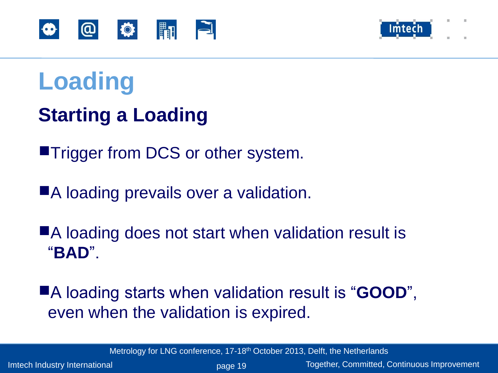



#### **Starting a Loading**

■Trigger from DCS or other system.

■A loading prevails over a validation.

■A loading does not start when validation result is "**BAD**".

■A loading starts when validation result is "**GOOD**", even when the validation is expired.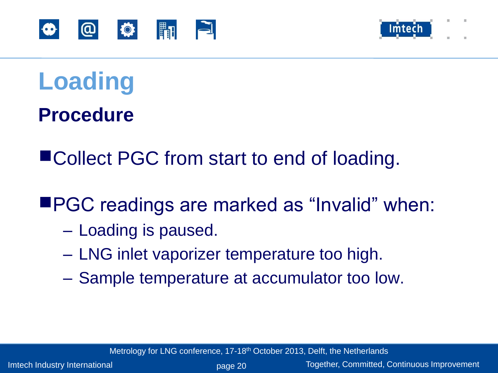



**Procedure**

■Collect PGC from start to end of loading.

■PGC readings are marked as "Invalid" when:

- Loading is paused.
- LNG inlet vaporizer temperature too high.
- Sample temperature at accumulator too low.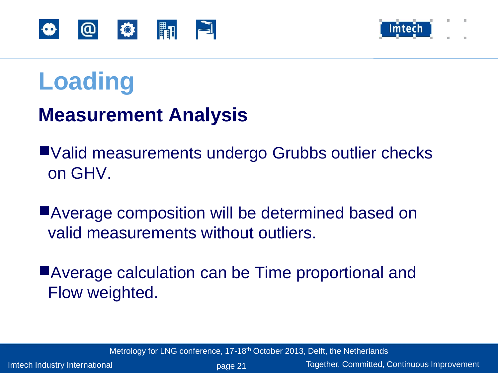



#### **Measurement Analysis**

■Valid measurements undergo Grubbs outlier checks on GHV.

■Average composition will be determined based on valid measurements without outliers.

■Average calculation can be Time proportional and Flow weighted.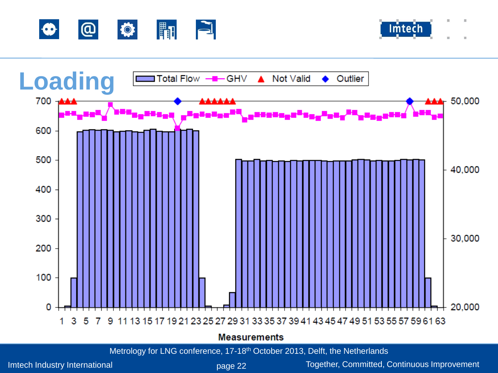





Imtech Industry International **page 22** Together, Committed, Continuous Improvement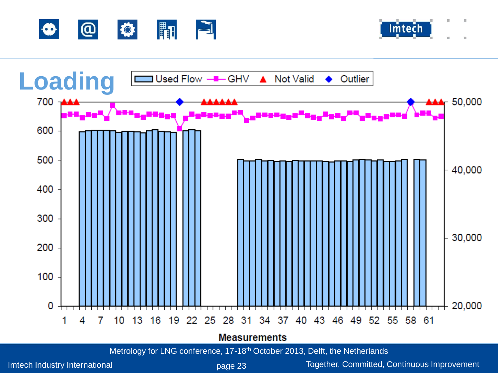





Metrology for LNG conference, 17-18<sup>th</sup> October 2013, Delft, the Netherlands

Imtech Industry International **page 23** Together, Committed, Continuous Improvement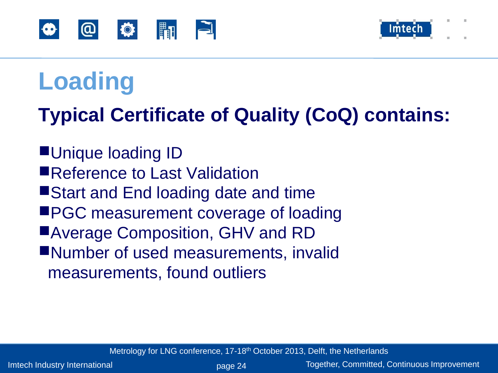



#### **Typical Certificate of Quality (CoQ) contains:**

■Unique loading ID ■Reference to Last Validation ■Start and End loading date and time ■PGC measurement coverage of loading ■Average Composition, GHV and RD ■Number of used measurements, invalid measurements, found outliers

Metrology for LNG conference, 17-18<sup>th</sup> October 2013, Delft, the Netherlands

Imtech Industry International **page 24** Together, Committed, Continuous Improvement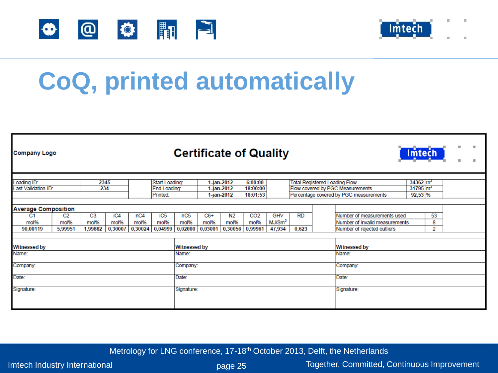



## **CoQ, printed automatically**

| <b>Company Logo</b>                                              |                                   |                                   |                        |                                            |                                    |                                              |                          |                                   | <b>Certificate of Quality</b>      |                                                                          |                    | Imtech                                                                                            |                                                                                              |  |              |  |  |
|------------------------------------------------------------------|-----------------------------------|-----------------------------------|------------------------|--------------------------------------------|------------------------------------|----------------------------------------------|--------------------------|-----------------------------------|------------------------------------|--------------------------------------------------------------------------|--------------------|---------------------------------------------------------------------------------------------------|----------------------------------------------------------------------------------------------|--|--------------|--|--|
| Loading ID:<br>2345<br>234<br>Last Validation ID:                |                                   |                                   |                        | Start Loading:<br>End Loading:<br>Printed: |                                    | $1$ -jan-2012<br>$1$ -jan-2012<br>1-jan-2012 |                          | 6:00:00<br>18:00:00<br>18:01:53   |                                    | <b>Total Registered Loading Flow</b><br>Flow covered by PGC Measurements |                    | $34362 \, \text{m}^3$<br>$31795 \text{ m}^3$<br>Percentage covered by PGC measurements<br>92,53 % |                                                                                              |  |              |  |  |
| <b>Average Composition</b><br>C <sub>1</sub><br>mol%<br>90,00119 | C <sub>2</sub><br>mol%<br>5,99951 | C <sub>3</sub><br>mol%<br>1,99882 | iC4<br>mol%<br>0,30007 | nC4<br>mol%<br>0,30024                     | iC <sub>5</sub><br>mol%<br>0,04999 | nC5<br>mol%<br>0,02000                       | $C6+$<br>mol%<br>0,03001 | N <sub>2</sub><br>mol%<br>0,30056 | CO <sub>2</sub><br>mol%<br>0,99961 | <b>GHV</b><br>MJ/Sm <sup>3</sup><br>47,934                               | <b>RD</b><br>0,623 |                                                                                                   | Number of measurements used<br>Number of invalid measurements<br>Number of rejected outliers |  | 53<br>8<br>2 |  |  |
| <b>Witnessed by</b>                                              |                                   |                                   |                        |                                            |                                    |                                              | <b>Witnessed by</b>      |                                   |                                    |                                                                          |                    | <b>Witnessed by</b>                                                                               |                                                                                              |  |              |  |  |
| Name:<br>Company:                                                |                                   |                                   |                        |                                            |                                    | Name:<br>Company:                            |                          |                                   |                                    |                                                                          |                    |                                                                                                   | Name:<br>Company:                                                                            |  |              |  |  |
| Date:<br>Signature:                                              |                                   |                                   |                        |                                            |                                    | Date:<br>Signature:                          |                          |                                   |                                    |                                                                          |                    |                                                                                                   | Date:<br>Signature:                                                                          |  |              |  |  |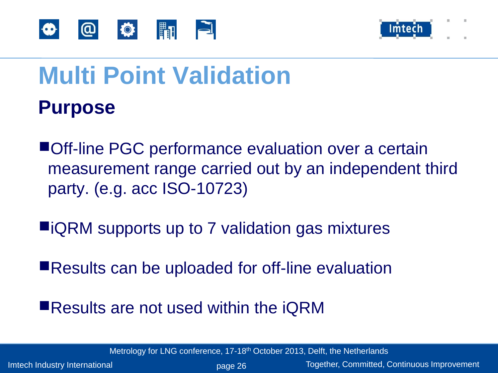



## **Multi Point Validation Purpose**

■Off-line PGC performance evaluation over a certain measurement range carried out by an independent third party. (e.g. acc ISO-10723)

■iQRM supports up to 7 validation gas mixtures

■Results can be uploaded for off-line evaluation

■Results are not used within the iQRM

Metrology for LNG conference, 17-18<sup>th</sup> October 2013, Delft, the Netherlands

Imtech Industry International **page 26** Together, Committed, Continuous Improvement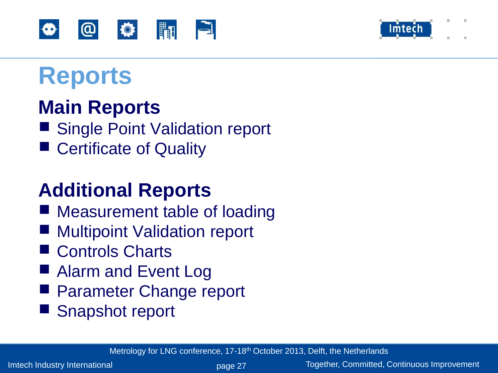



## **Reports**

#### **Main Reports**

- Single Point Validation report
- Certificate of Quality

#### **Additional Reports**

- Measurement table of loading
- **Multipoint Validation report**
- Controls Charts
- Alarm and Event Log
- Parameter Change report
- Snapshot report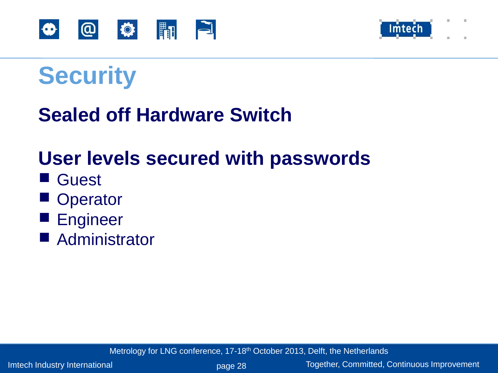



## **Security**

#### **Sealed off Hardware Switch**

#### **User levels secured with passwords**

- Guest
- Operator
- Engineer
- Administrator

Metrology for LNG conference, 17-18<sup>th</sup> October 2013, Delft, the Netherlands

Imtech Industry International **page 28** Together, Committed, Continuous Improvement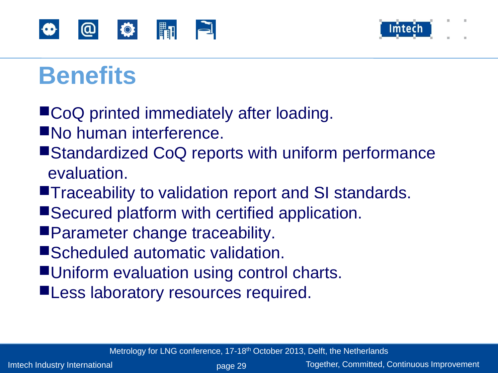



## **Benefits**

- ■CoQ printed immediately after loading.
- ■No human interference.
- ■Standardized CoQ reports with uniform performance evaluation.
- ■Traceability to validation report and SI standards.
- ■Secured platform with certified application.
- ■Parameter change traceability.
- ■Scheduled automatic validation.
- ■Uniform evaluation using control charts.
- ■Less laboratory resources required.